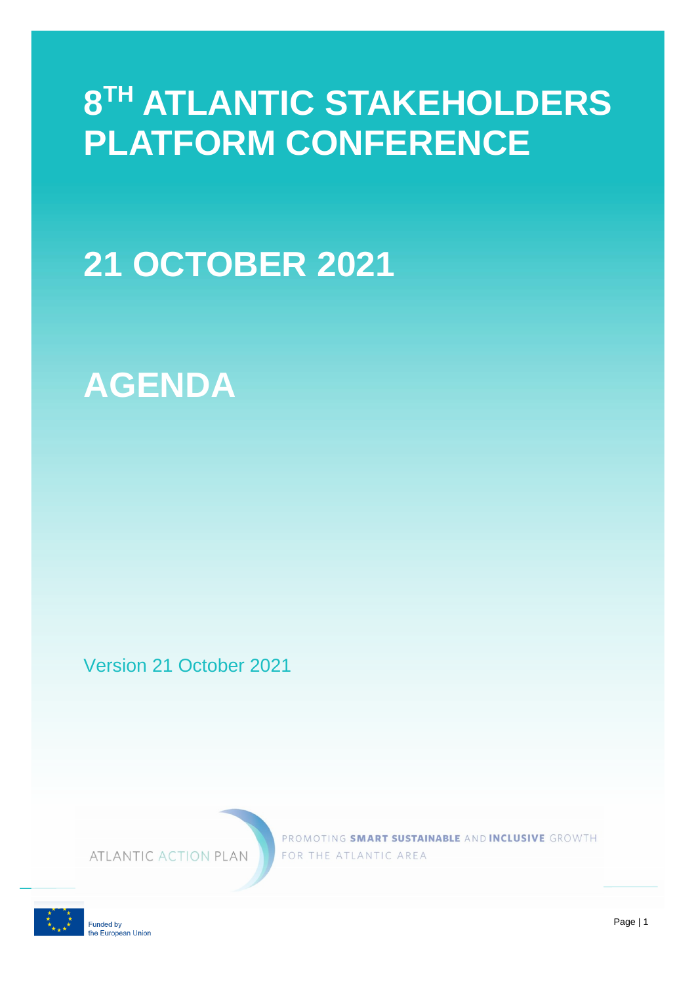## **8 TH ATLANTIC STAKEHOLDERS PLATFORM CONFERENCE**

# **21 OCTOBER 2021**

### **AGENDA**

Version 21 October 2021

ATLANTIC ACTION PLAN

PROMOTING SMART SUSTAINABLE AND INCLUSIVE GROWTH FOR THE ATLANTIC AREA

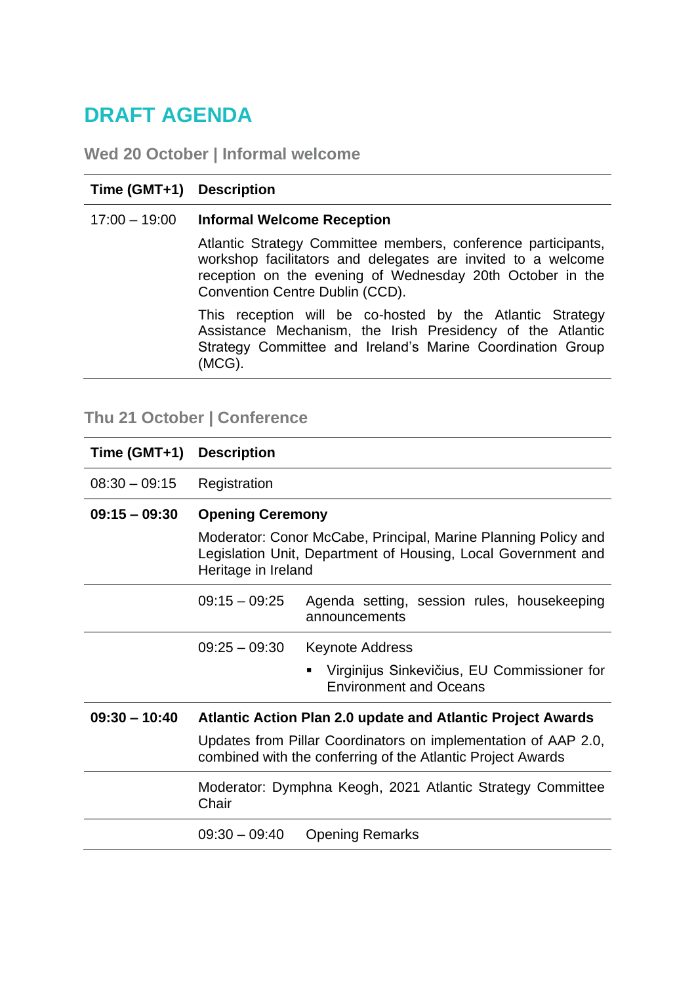### **DRAFT AGENDA**

**Wed 20 October | Informal welcome**

#### **Time (GMT+1) Description**

#### 17:00 – 19:00 **Informal Welcome Reception**

Atlantic Strategy Committee members, conference participants, workshop facilitators and delegates are invited to a welcome reception on the evening of Wednesday 20th October in the Convention Centre Dublin (CCD).

This reception will be co-hosted by the Atlantic Strategy Assistance Mechanism, the Irish Presidency of the Atlantic Strategy Committee and Ireland's Marine Coordination Group (MCG).

### **Thu 21 October | Conference**

| Time (GMT+1)    | <b>Description</b>                                                                                                                                     |
|-----------------|--------------------------------------------------------------------------------------------------------------------------------------------------------|
| $08:30 - 09:15$ | Registration                                                                                                                                           |
| $09:15 - 09:30$ | <b>Opening Ceremony</b>                                                                                                                                |
|                 | Moderator: Conor McCabe, Principal, Marine Planning Policy and<br>Legislation Unit, Department of Housing, Local Government and<br>Heritage in Ireland |
|                 | $09:15 - 09:25$<br>Agenda setting, session rules, housekeeping<br>announcements                                                                        |
|                 | $09:25 - 09:30$<br><b>Keynote Address</b>                                                                                                              |
|                 | Virginijus Sinkevičius, EU Commissioner for<br>п<br><b>Environment and Oceans</b>                                                                      |
| $09:30 - 10:40$ | Atlantic Action Plan 2.0 update and Atlantic Project Awards                                                                                            |
|                 | Updates from Pillar Coordinators on implementation of AAP 2.0,<br>combined with the conferring of the Atlantic Project Awards                          |
|                 | Moderator: Dymphna Keogh, 2021 Atlantic Strategy Committee<br>Chair                                                                                    |
|                 | $09:30 - 09:40$<br><b>Opening Remarks</b>                                                                                                              |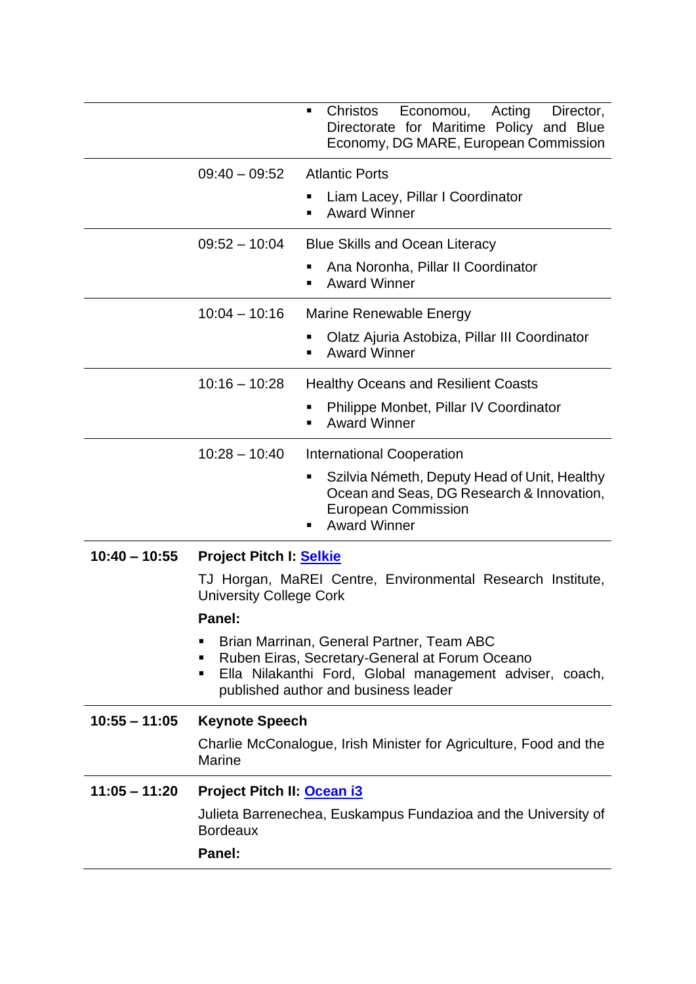| Christos<br>Economou,<br>٠<br>Directorate for Maritime Policy and Blue<br>Economy, DG MARE, European Commission                                                                                          | Acting<br>Director, |
|----------------------------------------------------------------------------------------------------------------------------------------------------------------------------------------------------------|---------------------|
| <b>Atlantic Ports</b><br>$09:40 - 09:52$                                                                                                                                                                 |                     |
| Liam Lacey, Pillar I Coordinator<br><b>Award Winner</b>                                                                                                                                                  |                     |
| $09:52 - 10:04$<br><b>Blue Skills and Ocean Literacy</b>                                                                                                                                                 |                     |
| Ana Noronha, Pillar II Coordinator<br>п<br><b>Award Winner</b>                                                                                                                                           |                     |
| $10:04 - 10:16$<br>Marine Renewable Energy                                                                                                                                                               |                     |
| Olatz Ajuria Astobiza, Pillar III Coordinator<br>п<br><b>Award Winner</b>                                                                                                                                |                     |
|                                                                                                                                                                                                          |                     |
| $10:16 - 10:28$<br><b>Healthy Oceans and Resilient Coasts</b>                                                                                                                                            |                     |
| Philippe Monbet, Pillar IV Coordinator<br>п<br><b>Award Winner</b>                                                                                                                                       |                     |
| $10:28 - 10:40$<br><b>International Cooperation</b>                                                                                                                                                      |                     |
| Szilvia Németh, Deputy Head of Unit, Healthy<br>٠<br>Ocean and Seas, DG Research & Innovation,<br><b>European Commission</b><br><b>Award Winner</b>                                                      |                     |
| $10:40 - 10:55$<br><b>Project Pitch I: Selkie</b>                                                                                                                                                        |                     |
| TJ Horgan, MaREI Centre, Environmental Research Institute,<br><b>University College Cork</b>                                                                                                             |                     |
| Panel:                                                                                                                                                                                                   |                     |
| Brian Marrinan, General Partner, Team ABC<br>٠<br>Ruben Eiras, Secretary-General at Forum Oceano<br>Ella Nilakanthi Ford, Global management adviser, coach,<br>٠<br>published author and business leader |                     |
| $10:55 - 11:05$<br><b>Keynote Speech</b>                                                                                                                                                                 |                     |
| Charlie McConalogue, Irish Minister for Agriculture, Food and the<br><b>Marine</b>                                                                                                                       |                     |
| $11:05 - 11:20$<br>Project Pitch II: Ocean i3                                                                                                                                                            |                     |
| Julieta Barrenechea, Euskampus Fundazioa and the University of<br><b>Bordeaux</b>                                                                                                                        |                     |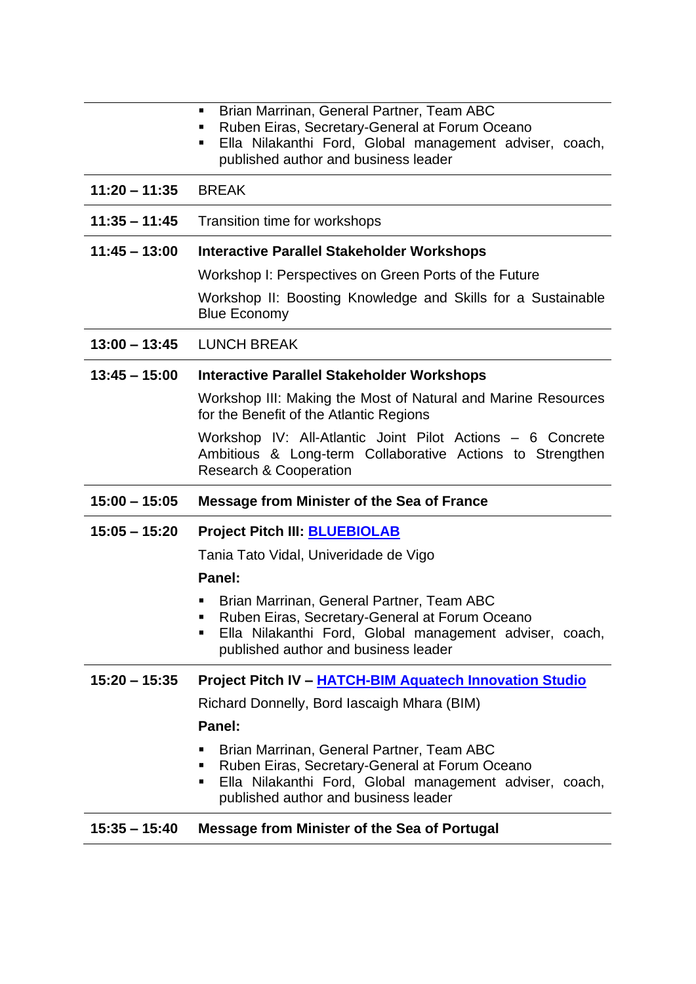|                 | Brian Marrinan, General Partner, Team ABC<br>٠<br>Ruben Eiras, Secretary-General at Forum Oceano<br>Ella Nilakanthi Ford, Global management adviser, coach,<br>٠<br>published author and business leader |
|-----------------|----------------------------------------------------------------------------------------------------------------------------------------------------------------------------------------------------------|
| $11:20 - 11:35$ | <b>BREAK</b>                                                                                                                                                                                             |
| $11:35 - 11:45$ | Transition time for workshops                                                                                                                                                                            |
| $11:45 - 13:00$ | <b>Interactive Parallel Stakeholder Workshops</b>                                                                                                                                                        |
|                 | Workshop I: Perspectives on Green Ports of the Future                                                                                                                                                    |
|                 | Workshop II: Boosting Knowledge and Skills for a Sustainable<br><b>Blue Economy</b>                                                                                                                      |
| $13:00 - 13:45$ | <b>LUNCH BREAK</b>                                                                                                                                                                                       |
| $13:45 - 15:00$ | Interactive Parallel Stakeholder Workshops                                                                                                                                                               |
|                 | Workshop III: Making the Most of Natural and Marine Resources<br>for the Benefit of the Atlantic Regions                                                                                                 |
|                 | Workshop IV: All-Atlantic Joint Pilot Actions – 6 Concrete<br>Ambitious & Long-term Collaborative Actions to Strengthen<br><b>Research &amp; Cooperation</b>                                             |
| $15:00 - 15:05$ | <b>Message from Minister of the Sea of France</b>                                                                                                                                                        |
|                 |                                                                                                                                                                                                          |
| $15:05 - 15:20$ | <b>Project Pitch III: BLUEBIOLAB</b>                                                                                                                                                                     |
|                 | Tania Tato Vidal, Univeridade de Vigo                                                                                                                                                                    |
|                 | Panel:                                                                                                                                                                                                   |
|                 | Brian Marrinan, General Partner, Team ABC<br>Ruben Eiras, Secretary-General at Forum Oceano<br>Ella Nilakanthi Ford, Global management adviser, coach,<br>published author and business leader           |
| $15:20 - 15:35$ | <b>Project Pitch IV - HATCH-BIM Aquatech Innovation Studio</b>                                                                                                                                           |
|                 | Richard Donnelly, Bord lascaigh Mhara (BIM)                                                                                                                                                              |
|                 | Panel:                                                                                                                                                                                                   |
|                 | Brian Marrinan, General Partner, Team ABC<br>Ruben Eiras, Secretary-General at Forum Oceano<br>Ella Nilakanthi Ford, Global management adviser, coach,<br>ш<br>published author and business leader      |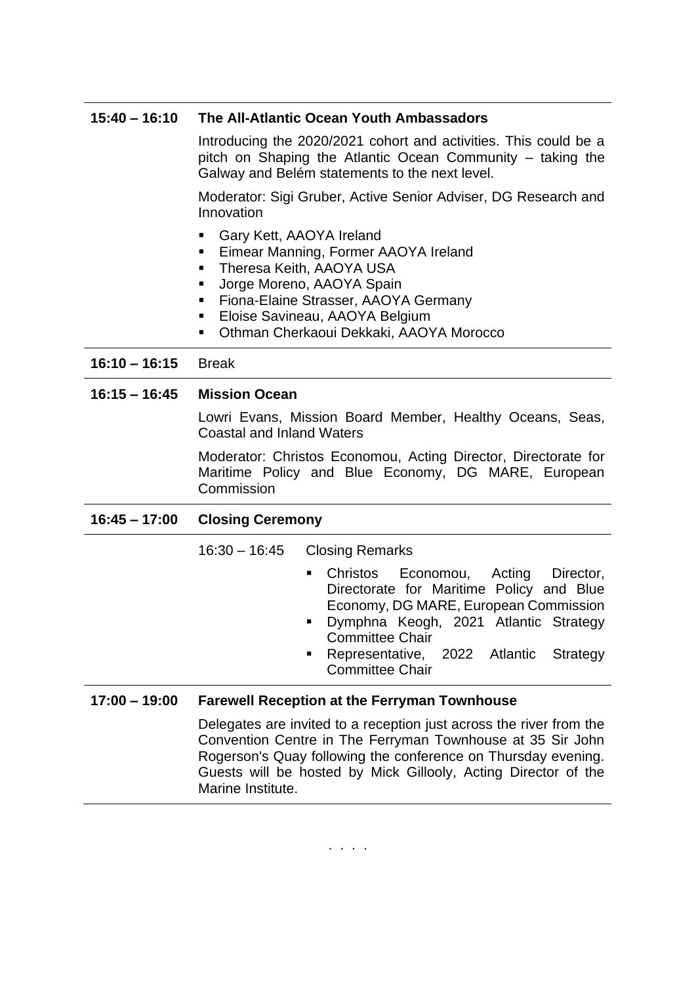#### **15:40 – 16:10 The All-Atlantic Ocean Youth Ambassadors**

Introducing the 2020/2021 cohort and activities. This could be a pitch on Shaping the Atlantic Ocean Community – taking the Galway and Belém statements to the next level.

Moderator: Sigi Gruber, Active Senior Adviser, DG Research and Innovation

- Gary Kett, AAOYA Ireland
- **Eimear Manning, Former AAOYA Ireland**
- **E** Theresa Keith, AAOYA USA
- **■** Jorge Moreno, AAOYA Spain
- **EXECTE:** Fiona-Elaine Strasser, AAOYA Germany
- **Eloise Savineau, AAOYA Belgium**
- Othman Cherkaoui Dekkaki, AAOYA Morocco

#### **16:10 – 16:15** Break

#### **16:15 – 16:45 Mission Ocean**

Lowri Evans, Mission Board Member, Healthy Oceans, Seas, Coastal and Inland Waters

Moderator: Christos Economou, Acting Director, Directorate for Maritime Policy and Blue Economy, DG MARE, European **Commission** 

#### **16:45 – 17:00 Closing Ceremony**

16:30 – 16:45 Closing Remarks

- Christos Economou, Acting Director, Directorate for Maritime Policy and Blue Economy, DG MARE, European Commission
- Dymphna Keogh, 2021 Atlantic Strategy Committee Chair
- Representative, 2022 Atlantic Strategy Committee Chair

#### **17:00 – 19:00 Farewell Reception at the Ferryman Townhouse**

Delegates are invited to a reception just across the river from the Convention Centre in The Ferryman Townhouse at 35 Sir John Rogerson's Quay following the conference on Thursday evening. Guests will be hosted by Mick Gillooly, Acting Director of the Marine Institute.

. . . .